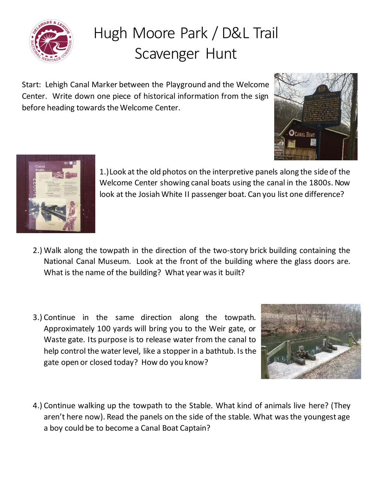

## Hugh Moore Park / D&L Trail Scavenger Hunt

Start: Lehigh Canal Marker between the Playground and the Welcome Center. Write down one piece of historical information from the sign before heading towards the Welcome Center.





1.)Look at the old photos on the interpretive panels along the side of the Welcome Center showing canal boats using the canal in the 1800s. Now look at the Josiah White II passenger boat. Can you list one difference?

- 2.) Walk along the towpath in the direction of the two-story brick building containing the National Canal Museum. Look at the front of the building where the glass doors are. What is the name of the building? What year was it built?
- 3.) Continue in the same direction along the towpath. Approximately 100 yards will bring you to the Weir gate, or Waste gate. Its purpose is to release water from the canal to help control the water level, like a stopper in a bathtub. Is the gate open or closed today? How do you know?



4.) Continue walking up the towpath to the Stable. What kind of animals live here? (They aren't here now). Read the panels on the side of the stable. What was the youngest age a boy could be to become a Canal Boat Captain?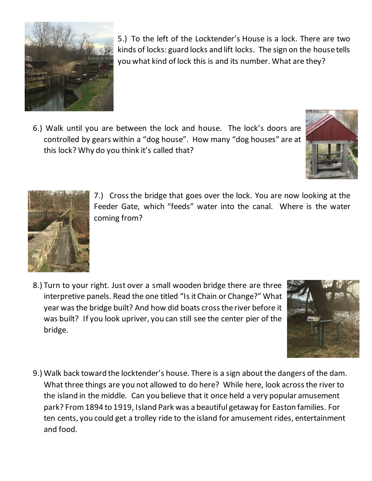

5.) To the left of the Locktender's House is a lock. There are two kinds of locks: guard locks and lift locks. The sign on the house tells you what kind of lock this is and its number. What are they?

6.) Walk until you are between the lock and house. The lock's doors are controlled by gears within a "dog house". How many "dog houses" are at this lock? Why do you think it's called that?





7.) Cross the bridge that goes over the lock. You are now looking at the Feeder Gate, which "feeds" water into the canal. Where is the water coming from?

8.) Turn to your right. Just over a small wooden bridge there are three interpretive panels. Read the one titled "Is it Chain or Change?" What year was the bridge built? And how did boats cross the river before it was built? If you look upriver, you can still see the center pier of the bridge.



9.) Walk back toward the locktender's house. There is a sign about the dangers of the dam. What three things are you not allowed to do here? While here, look across the river to the island in the middle. Can you believe that it once held a very popular amusement park? From 1894 to 1919, Island Park was a beautiful getaway for Easton families. For ten cents, you could get a trolley ride to the island for amusement rides, entertainment and food.